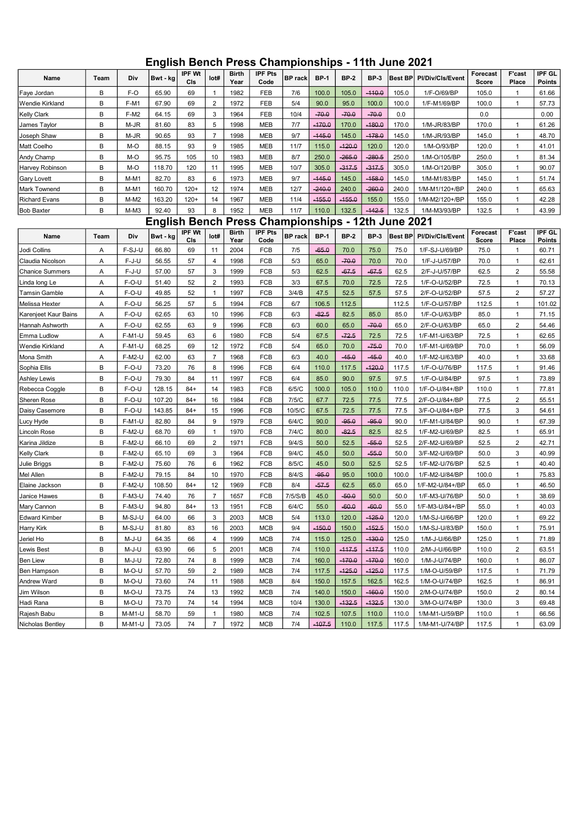## English Bench Press Championships - 11th June 2021

| Name                   | Team | Div           | Bwt - kg             | <b>IPF Wt</b><br>CIs | lot#           | <b>Birth</b><br>Year | <b>IPF Pts</b><br>Code               | <b>BP</b> rack | <b>BP-1</b> | <b>BP-2</b> | <b>BP-3</b> | <b>Best BP</b> | Pl/Div/Cls/Event | Forecast<br>Score | F'cast<br>Place | IPF GL<br><b>Points</b> |
|------------------------|------|---------------|----------------------|----------------------|----------------|----------------------|--------------------------------------|----------------|-------------|-------------|-------------|----------------|------------------|-------------------|-----------------|-------------------------|
| Faye Jordan            | B    | F-O           | 65.90                | 69                   | $\mathbf{1}$   | 1982                 | FEB                                  | 7/6            | 100.0       | 105.0       | $-110.0$    | 105.0          | 1/F-O/69/BP      | 105.0             | 1               | 61.66                   |
| Wendie Kirkland        | B    | F-M1          | 67.90                | 69                   | $\overline{2}$ | 1972                 | FEB                                  | 5/4            | 90.0        | 95.0        | 100.0       | 100.0          | 1/F-M1/69/BP     | 100.0             | $\mathbf{1}$    | 57.73                   |
| <b>Kelly Clark</b>     | B    | F-M2          | 64.15                | 69                   | 3              | 1964                 | FEB                                  | 10/4           | $-70.0$     | $-70.0$     | $-70.0$     | 0.0            |                  | 0.0               |                 | 0.00                    |
| James Taylor           | B    | $M-JR$        | 81.60                | 83                   | 5              | 1998                 | <b>MEB</b>                           | 7/7            | $-170.0$    | 170.0       | $-180.0$    | 170.0          | 1/M-JR/83/BP     | 170.0             | 1               | 61.26                   |
| Joseph Shaw            | B    | M-JR          | 90.65                | 93                   | $\overline{7}$ | 1998                 | <b>MEB</b>                           | 9/7            | $-145.0$    | 145.0       | $-178.0$    | 145.0          | 1/M-JR/93/BP     | 145.0             | 1               | 48.70                   |
| Matt Coelho            | B    | M-O           | 88.15                | 93                   | 9              | 1985                 | <b>MEB</b>                           | 11/7           | 115.0       | $-120.0$    | 120.0       | 120.0          | 1/M-O/93/BP      | 120.0             | 1               | 41.01                   |
| Andy Champ             | B    | M-O           | 95.75                | 105                  | 10             | 1983                 | <b>MEB</b>                           | 8/7            | 250.0       | $-265.0$    | $-280.5$    | 250.0          | 1/M-O/105/BP     | 250.0             | $\mathbf{1}$    | 81.34                   |
| Harvey Robinson        | B    | M-O           | 118.70               | 120                  | 11             | 1995                 | <b>MEB</b>                           | 10/7           | 305.0       | $-317.5$    | $-317.5$    | 305.0          | 1/M-O/120/BP     | 305.0             | $\mathbf{1}$    | 90.07                   |
| <b>Gary Lovett</b>     | B    | $M-M1$        | 82.70                | 83                   | $\,6\,$        | 1973                 | <b>MEB</b>                           | 9/7            | $-445.0$    | 145.0       | $-158.0$    | 145.0          | 1/M-M1/83/BP     | 145.0             | 1               | 51.74                   |
| Mark Townend           | B    | M-M1          | 160.70               | $120+$               | 12             | 1974                 | <b>MEB</b>                           | 12/7           | $-240.0$    | 240.0       | $-260.0$    | 240.0          | 1/M-M1/120+/BP   | 240.0             | 1               | 65.63                   |
| <b>Richard Evans</b>   | B    | $M-M2$        | 163.20               | $120+$               | 14             | 1967                 | <b>MEB</b>                           | 11/4           | $-155.0$    | $-155.0$    | 155.0       | 155.0          | 1/M-M2/120+/BP   | 155.0             | 1               | 42.28                   |
| <b>Bob Baxter</b>      | B    | $M-M3$        | 92.40                | 93                   | 8              | 1952                 | <b>MEB</b>                           | 11/7           | 110.0       | 132.5       | $-142.5$    | 132.5          | 1/M-M3/93/BP     | 132.5             | 1               | 43.99                   |
|                        |      |               | <b>English Bench</b> |                      |                |                      | Press Championships - 12th June 2021 |                |             |             |             |                |                  |                   |                 |                         |
| Name                   | Team | Div           | Bwt - kg             | <b>IPF Wt</b><br>CIs | lot#           | <b>Birth</b><br>Year | <b>IPF Pts</b><br>Code               | <b>BP</b> rack | <b>BP-1</b> | <b>BP-2</b> | <b>BP-3</b> | <b>Best BP</b> | Pl/Div/Cls/Event | Forecast<br>Score | F'cast<br>Place | IPF GL<br><b>Points</b> |
| Jodi Collins           | Α    | F-SJ-U        | 66.80                | 69                   | 11             | 2004                 | <b>FCB</b>                           | 7/5            | $-65.0$     | 70.0        | 75.0        | 75.0           | 1/F-SJ-U/69/BP   | 75.0              | $\mathbf{1}$    | 60.71                   |
| Claudia Nicolson       | A    | $F-J-U$       | 56.55                | 57                   | $\overline{4}$ | 1998                 | <b>FCB</b>                           | 5/3            | 65.0        | $-70.0$     | 70.0        | 70.0           | 1/F-J-U/57/BP    | 70.0              | 1               | 62.61                   |
| <b>Chanice Summers</b> | Α    | F-J-U         | 57.00                | 57                   | 3              | 1999                 | <b>FCB</b>                           | 5/3            | 62.5        | $-67.5$     | $-67.5$     | 62.5           | 2/F-J-U/57/BP    | 62.5              | $\overline{2}$  | 55.58                   |
| Linda long Le          | Α    | F-O-U         | 51.40                | 52                   | $\overline{2}$ | 1993                 | <b>FCB</b>                           | 3/3            | 67.5        | 70.0        | 72.5        | 72.5           | 1/F-O-U/52/BP    | 72.5              | 1               | 70.13                   |
| Tamsin Gamble          | A    | $F-O-U$       | 49.85                | 52                   | $\mathbf{1}$   | 1997                 | <b>FCB</b>                           | 3/4/B          | 47.5        | 52.5        | 57.5        | 57.5           | 2/F-O-U/52/BP    | 57.5              | $\overline{2}$  | 57.27                   |
| Melissa Hexter         | Α    | F-O-U         | 56.25                | 57                   | 5              | 1994                 | <b>FCB</b>                           | 6/7            | 106.5       | 112.5       |             | 112.5          | 1/F-O-U/57/BP    | 112.5             | $\mathbf{1}$    | 101.02                  |
| Karenjeet Kaur Bains   | A    | $F-O-U$       | 62.65                | 63                   | 10             | 1996                 | FCB                                  | 6/3            | $-82.5$     | 82.5        | 85.0        | 85.0           | 1/F-O-U/63/BP    | 85.0              | $\mathbf{1}$    | 71.15                   |
| Hannah Ashworth        | Α    | F-O-U         | 62.55                | 63                   | 9              | 1996                 | <b>FCB</b>                           | 6/3            | 60.0        | 65.0        | $-70.0$     | 65.0           | 2/F-O-U/63/BP    | 65.0              | 2               | 54.46                   |
| Emma Ludlow            | Α    | <b>F-M1-U</b> | 59.45                | 63                   | $\,6\,$        | 1980                 | <b>FCB</b>                           | 5/4            | 67.5        | $-72.5$     | 72.5        | 72.5           | 1/F-M1-U/63/BP   | 72.5              | 1               | 62.65                   |
| Wendie Kirkland        | A    | F-M1-U        | 68.25                | 69                   | 12             | 1972                 | <b>FCB</b>                           | 5/4            | 65.0        | 70.0        | $-75.0$     | 70.0           | 1/F-M1-U/69/BP   | 70.0              | $\mathbf{1}$    | 56.09                   |
| Mona Smith             | Α    | F-M2-U        | 62.00                | 63                   | $\overline{7}$ | 1968                 | <b>FCB</b>                           | 6/3            | 40.0        | $-45.0$     | $-45.0$     | 40.0           | 1/F-M2-U/63/BP   | 40.0              | $\mathbf{1}$    | 33.68                   |
| Sophia Ellis           | B    | F-O-U         | 73.20                | 76                   | 8              | 1996                 | <b>FCB</b>                           | 6/4            | 110.0       | 117.5       | $-120.0$    | 117.5          | 1/F-O-U/76/BP    | 117.5             | $\mathbf{1}$    | 91.46                   |
| <b>Ashley Lewis</b>    | B    | F-O-U         | 79.30                | 84                   | 11             | 1997                 | <b>FCB</b>                           | 6/4            | 85.0        | 90.0        | 97.5        | 97.5           | 1/F-O-U/84/BP    | 97.5              | 1               | 73.89                   |
| Rebecca Coggle         | B    | F-O-U         | 128.15               | $84+$                | 14             | 1983                 | <b>FCB</b>                           | 6/5/C          | 100.0       | 105.0       | 110.0       | 110.0          | 1/F-O-U/84+/BP   | 110.0             | 1               | 77.81                   |
| Sheren Rose            | B    | F-O-U         | 107.20               | $84+$                | 16             | 1984                 | <b>FCB</b>                           | 7/5/C          | 67.7        | 72.5        | 77.5        | 77.5           | 2/F-O-U/84+/BP   | 77.5              | $\overline{2}$  | 55.51                   |
| Daisy Casemore         | B    | F-O-U         | 143.85               | $84+$                | 15             | 1996                 | <b>FCB</b>                           | 10/5/C         | 67.5        | 72.5        | 77.5        | 77.5           | 3/F-O-U/84+/BP   | 77.5              | 3               | 54.61                   |
| Lucy Hyde              | B    | F-M1-U        | 82.80                | 84                   | 9              | 1979                 | <b>FCB</b>                           | 6/4/C          | 90.0        | $-95.0$     | $-95.0$     | 90.0           | 1/F-M1-U/84/BP   | 90.0              | $\mathbf{1}$    | 67.39                   |
| Lincoln Rose           | B    | F-M2-U        | 68.70                | 69                   | $\mathbf{1}$   | 1970                 | <b>FCB</b>                           | 7/4/C          | 80.0        | $-82.5$     | 82.5        | 82.5           | 1/F-M2-U/69/BP   | 82.5              | $\mathbf{1}$    | 65.91                   |
| Karina Jildize         | B    | F-M2-U        | 66.10                | 69                   | $\overline{2}$ | 1971                 | <b>FCB</b>                           | 9/4/S          | 50.0        | 52.5        | $-55.0$     | 52.5           | 2/F-M2-U/69/BP   | 52.5              | $\overline{2}$  | 42.71                   |
| <b>Kelly Clark</b>     | B    | F-M2-U        | 65.10                | 69                   | 3              | 1964                 | <b>FCB</b>                           | 9/4/C          | 45.0        | 50.0        | $-55.0$     | 50.0           | 3/F-M2-U/69/BP   | 50.0              | 3               | 40.99                   |
| Julie Briggs           | B    | F-M2-U        | 75.60                | 76                   | 6              | 1962                 | <b>FCB</b>                           | 8/5/C          | 45.0        | 50.0        | 52.5        | 52.5           | 1/F-M2-U/76/BP   | 52.5              | 1               | 40.40                   |
| Mel Allen              | B    | F-M2-U        | 79.15                | 84                   | 10             | 1970                 | <b>FCB</b>                           | 8/4/S          | $-95.0$     | 95.0        | 100.0       | 100.0          | 1/F-M2-U/84/BP   | 100.0             | 1               | 75.83                   |
| Elaine Jackson         | B    | F-M2-U        | 108.50               | $84+$                | 12             | 1969                 | <b>FCB</b>                           | 8/4            | $-57.5$     | 62.5        | 65.0        | 65.0           | 1/F-M2-U/84+/BP  | 65.0              | $\mathbf{1}$    | 46.50                   |
| Janice Hawes           | B    | F-M3-U        | 74.40                | 76                   | $\overline{7}$ | 1657                 | <b>FCB</b>                           | 7/5/S/B        | 45.0        | $-50.0$     | 50.0        | 50.0           | 1/F-M3-U/76/BP   | 50.0              | $\mathbf{1}$    | 38.69                   |
| Mary Cannon            | B    | $F-M3-U$      | 94.80                | $84+$                | 13             | 1951                 | <b>FCB</b>                           | 6/4/C          | 55.0        | $-60.0$     | $-60.0$     | 55.0           | 1/F-M3-U/84+/BP  | 55.0              |                 | 40.03                   |
| <b>Edward Kimber</b>   | В    | M-SJ-U        | 64.00                | 66                   | 3              | 2003                 | <b>MCB</b>                           | 5/4            | 113.0       | 120.0       | $-125.0$    | 120.0          | 1/M-SJ-U/66/BP   | 120.0             | 1               | 69.22                   |
| Harry Kirk             | B    | M-SJ-U        | 81.80                | 83                   | 16             | 2003                 | <b>MCB</b>                           | 9/4            | $-150.0$    | 150.0       | $-152.5$    | 150.0          | 1/M-SJ-U/83/BP   | 150.0             | 1               | 75.91                   |
| Jeriel Ho              | B    | M-J-U         | 64.35                | 66                   | 4              | 1999                 | MCB                                  | 7/4            | 115.0       | 125.0       | $-130.0$    | 125.0          | 1/M-J-U/66/BP    | 125.0             | $\mathbf{1}$    | 71.89                   |
| Lewis Best             | B    | M-J-U         | 63.90                | 66                   | 5              | 2001                 | <b>MCB</b>                           | 7/4            | 110.0       | $-117.5$    | $-117.5$    | 110.0          | 2/M-J-U/66/BP    | 110.0             | $\overline{2}$  | 63.51                   |
| <b>Ben Liew</b>        | B    | M-J-U         | 72.80                | 74                   | 8              | 1999                 | MCB                                  | 7/4            | 160.0       | -470.0      | $-170.0$    | 160.0          | 1/M-J-U/74/BP    | 160.0             | 1               | 86.07                   |
| Ben Hampson            | B    | M-O-U         | 57.70                | 59                   | $\sqrt{2}$     | 1989                 | MCB                                  | 7/4            | 117.5       | $-425.0$    | $-125.0$    | 117.5          | 1/M-O-U/59/BP    | 117.5             | 1               | 71.79                   |
| Andrew Ward            | B    | M-O-U         | 73.60                | 74                   | 11             | 1988                 | MCB                                  | 8/4            | 150.0       | 157.5       | 162.5       | 162.5          | 1/M-O-U/74/BP    | 162.5             | 1               | 86.91                   |
| Jim Wilson             | B    | M-O-U         | 73.75                | 74                   | 13             | 1992                 | MCB                                  | 7/4            | 140.0       | 150.0       | $-160.0$    | 150.0          | 2/M-O-U/74/BP    | 150.0             | 2               | 80.14                   |
| Hadi Rana              | B    | M-O-U         | 73.70                | 74                   | 14             | 1994                 | MCB                                  | 10/4           | 130.0       | $-132.5$    | $-132.5$    | 130.0          | 3/M-O-U/74/BP    | 130.0             | 3               | 69.48                   |
| Rajesh Babu            | B    | M-M1-U        | 58.70                | 59                   | $\mathbf{1}$   | 1980                 | <b>MCB</b>                           | 7/4            | 102.5       | 107.5       | 110.0       | 110.0          | 1/M-M1-U/59/BP   | 110.0             | $\mathbf{1}$    | 66.56                   |
| Nicholas Bentley       | B    | $M-M1-U$      | 73.05                | 74                   | $\overline{7}$ | 1972                 | <b>MCB</b>                           | 7/4            | $-407.5$    | 110.0       | 117.5       | 117.5          | 1/M-M1-U/74/BP   | 117.5             | 1               | 63.09                   |